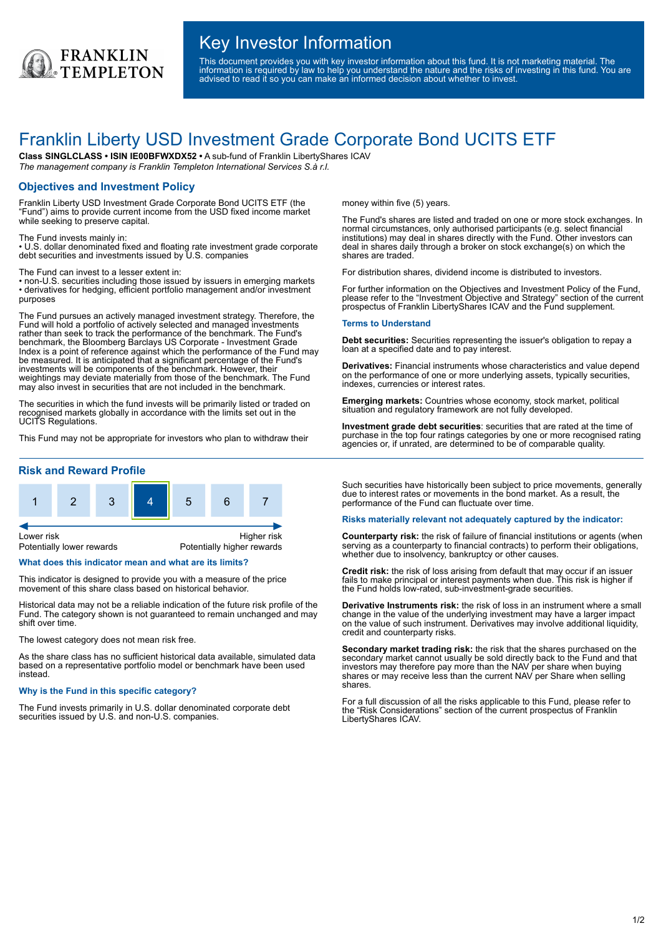

## Key Investor Information

This document provides you with key investor information about this fund. It is not marketing material. The information is required by law to help you understand the nature and the risks of investing in this fund. You are advised to read it so you can make an informed decision about whether to invest.

# Franklin Liberty USD Investment Grade Corporate Bond UCITS ETF

**Class SINGLCLASS • ISIN IE00BFWXDX52 •** A sub-fund of Franklin LibertyShares ICAV *The management company is Franklin Templeton International Services S.à r.l.*

## **Objectives and Investment Policy**

Franklin Liberty USD Investment Grade Corporate Bond UCITS ETF (the "Fund") aims to provide current income from the USD fixed income market while seeking to preserve capital.

The Fund invests mainly in:

• U.S. dollar denominated fixed and floating rate investment grade corporate debt securities and investments issued by U.S. companies

The Fund can invest to a lesser extent in:

• non-U.S. securities including those issued by issuers in emerging markets • derivatives for hedging, efficient portfolio management and/or investment purposes

The Fund pursues an actively managed investment strategy. Therefore, the Fund will hold a portfolio of actively selected and managed investments rather than seek to track the performance of the benchmark. The Fund's benchmark, the Bloomberg Barclays US Corporate - Investment Grade Index is a point of reference against which the performance of the Fund may be measured. It is anticipated that a significant percentage of the Fund's investments will be components of the benchmark. However, their weightings may deviate materially from those of the benchmark. The Fund may also invest in securities that are not included in the benchmark.

The securities in which the fund invests will be primarily listed or traded on recognised markets globally in accordance with the limits set out in the UCITS Regulations.

This Fund may not be appropriate for investors who plan to withdraw their

## **Risk and Reward Profile**



#### **What does this indicator mean and what are its limits?**

This indicator is designed to provide you with a measure of the price movement of this share class based on historical behavior.

Historical data may not be a reliable indication of the future risk profile of the Fund. The category shown is not guaranteed to remain unchanged and may shift over time.

The lowest category does not mean risk free.

As the share class has no sufficient historical data available, simulated data based on a representative portfolio model or benchmark have been used instead.

#### **Why is the Fund in this specific category?**

The Fund invests primarily in U.S. dollar denominated corporate debt securities issued by U.S. and non-U.S. companies.

money within five (5) years.

The Fund's shares are listed and traded on one or more stock exchanges. In normal circumstances, only authorised participants (e.g. select financial institutions) may deal in shares directly with the Fund. Other investors can deal in shares daily through a broker on stock exchange(s) on which the shares are traded.

For distribution shares, dividend income is distributed to investors.

For further information on the Objectives and Investment Policy of the Fund, please refer to the "Investment Objective and Strategy" section of the current prospectus of Franklin LibertyShares ICAV and the Fund supplement.

#### **Terms to Understand**

**Debt securities:** Securities representing the issuer's obligation to repay a loan at a specified date and to pay interest.

**Derivatives:** Financial instruments whose characteristics and value depend on the performance of one or more underlying assets, typically securities, indexes, currencies or interest rates.

**Emerging markets:** Countries whose economy, stock market, political situation and regulatory framework are not fully developed.

**Investment grade debt securities**: securities that are rated at the time of purchase in the top four ratings categories by one or more recognised rating agencies or, if unrated, are determined to be of comparable quality.

Such securities have historically been subject to price movements, generally due to interest rates or movements in the bond market. As a result, the performance of the Fund can fluctuate over time.

#### **Risks materially relevant not adequately captured by the indicator:**

**Counterparty risk:** the risk of failure of financial institutions or agents (when serving as a counterparty to financial contracts) to perform their obligations, whether due to insolvency, bankruptcy or other causes.

**Credit risk:** the risk of loss arising from default that may occur if an issuer fails to make principal or interest payments when due. This risk is higher if the Fund holds low-rated, sub-investment-grade securities.

**Derivative Instruments risk:** the risk of loss in an instrument where a small change in the value of the underlying investment may have a larger impact on the value of such instrument. Derivatives may involve additional liquidity, credit and counterparty risks.

**Secondary market trading risk:** the risk that the shares purchased on the secondary market cannot usually be sold directly back to the Fund and that investors may therefore pay more than the NAV per share when buying shares or may receive less than the current NAV per Share when selling shares.

For a full discussion of all the risks applicable to this Fund, please refer to the "Risk Considerations" section of the current prospectus of Franklin LibertyShares ICAV.